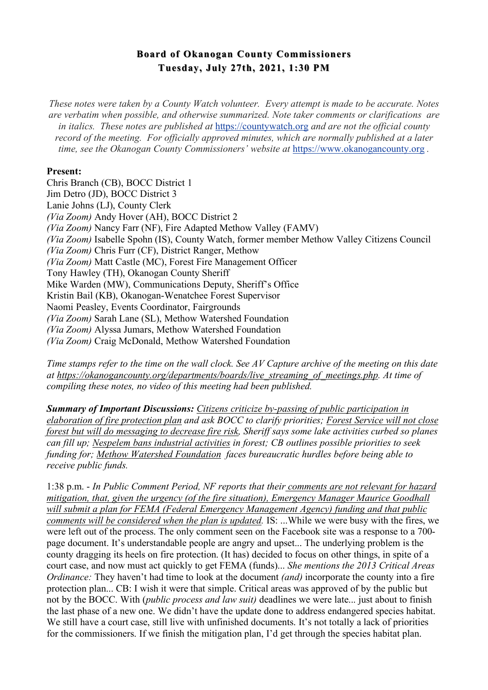## **Board of Okanogan County Commissioners Board of Okanogan County Commissioners Tuesday, July 27th, 2021, 1:30 PM**

*These notes were taken by a County Watch volunteer. Every attempt is made to be accurate. Notes are verbatim when possible, and otherwise summarized. Note taker comments or clarifications are in italics. These notes are published at* https://countywatch.org *and are not the official county record of the meeting. For officially approved minutes, which are normally published at a later time, see the Okanogan County Commissioners' website at https://www.okanogancounty.org.* 

## **Present:**

Chris Branch (CB), BOCC District 1 Jim Detro (JD), BOCC District 3 Lanie Johns (LJ), County Clerk *(Via Zoom)* Andy Hover (AH), BOCC District 2 *(Via Zoom)* Nancy Farr (NF), Fire Adapted Methow Valley (FAMV) *(Via Zoom)* Isabelle Spohn (IS), County Watch, former member Methow Valley Citizens Council *(Via Zoom)* Chris Furr (CF), District Ranger, Methow *(Via Zoom)* Matt Castle (MC), Forest Fire Management Officer Tony Hawley (TH), Okanogan County Sheriff Mike Warden (MW), Communications Deputy, Sheriff's Office Kristin Bail (KB), Okanogan-Wenatchee Forest Supervisor Naomi Peasley, Events Coordinator, Fairgrounds *(Via Zoom)* Sarah Lane (SL), Methow Watershed Foundation *(Via Zoom)* Alyssa Jumars, Methow Watershed Foundation *(Via Zoom)* Craig McDonald, Methow Watershed Foundation

*Time stamps refer to the time on the wall clock. See AV Capture archive of the meeting on this date at https://okanogancounty.org/departments/boards/live\_streaming\_of\_meetings.php. At time of compiling these notes, no video of this meeting had been published.*

*Summary of Important Discussions: Citizens criticize by-passing of public participation in elaboration of fire protection plan and ask BOCC to clarify priorities; Forest Service will not close forest but will do messaging to decrease fire risk, Sheriff says some lake activities curbed so planes can fill up; Nespelem bans industrial activities in forest; CB outlines possible priorities to seek funding for; Methow Watershed Foundation faces bureaucratic hurdles before being able to receive public funds.* 

1:38 p.m. - *In Public Comment Period, NF reports that their comments are not relevant for hazard mitigation, that, given the urgency (of the fire situation), Emergency Manager Maurice Goodhall will submit a plan for FEMA (Federal Emergency Management Agency) funding and that public comments will be considered when the plan is updated.* IS: ...While we were busy with the fires, we were left out of the process. The only comment seen on the Facebook site was a response to a 700 page document. It's understandable people are angry and upset... The underlying problem is the county dragging its heels on fire protection. (It has) decided to focus on other things, in spite of a court case, and now must act quickly to get FEMA (funds)... *She mentions the 2013 Critical Areas Ordinance:* They haven't had time to look at the document *(and)* incorporate the county into a fire protection plan... CB: I wish it were that simple. Critical areas was approved of by the public but not by the BOCC. With (*public process and law suit)* deadlines we were late... just about to finish the last phase of a new one. We didn't have the update done to address endangered species habitat. We still have a court case, still live with unfinished documents. It's not totally a lack of priorities for the commissioners. If we finish the mitigation plan, I'd get through the species habitat plan.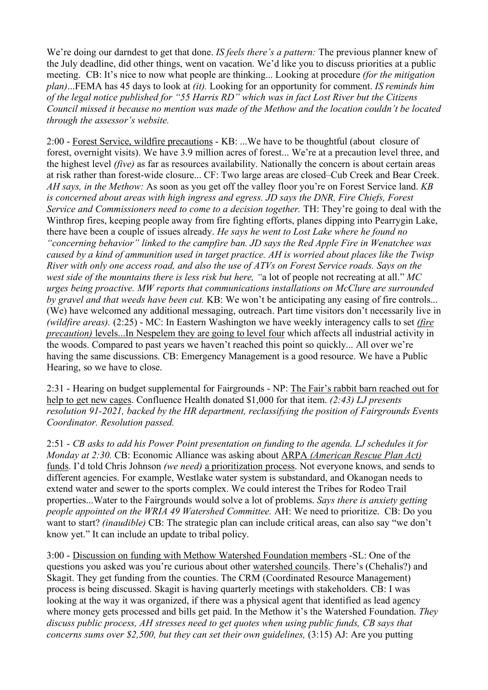We're doing our darndest to get that done. *IS feels there's a pattern:* The previous planner knew of the July deadline, did other things, went on vacation. We'd like you to discuss priorities at a public meeting. CB: It's nice to now what people are thinking... Looking at procedure *(for the mitigation plan)*...FEMA has 45 days to look at *(it).* Looking for an opportunity for comment. *IS reminds him of the legal notice published for "55 Harris RD" which was in fact Lost River but the Citizens Council missed it because no mention was made of the Methow and the location couldn't be located through the assessor's website.*

2:00 - Forest Service, wildfire precautions - KB: ...We have to be thoughtful (about closure of forest, overnight visits). We have 3.9 million acres of forest... We're at a precaution level three, and the highest level *(five)* as far as resources availability. Nationally the concern is about certain areas at risk rather than forest-wide closure... CF: Two large areas are closed–Cub Creek and Bear Creek. *AH says, in the Methow:* As soon as you get off the valley floor you're on Forest Service land. *KB is concerned about areas with high ingress and egress. JD says the DNR, Fire Chiefs, Forest Service and Commissioners need to come to a decision together.* TH: They're going to deal with the Winthrop fires, keeping people away from fire fighting efforts, planes dipping into Pearrygin Lake, there have been a couple of issues already. *He says he went to Lost Lake where he found no "concerning behavior" linked to the campfire ban. JD says the Red Apple Fire in Wenatchee was caused by a kind of ammunition used in target practice. AH is worried about places like the Twisp River with only one access road, and also the use of ATVs on Forest Service roads. Says on the west side of the mountains there is less risk but here, "*a lot of people not recreating at all." *MC urges being proactive. MW reports that communications installations on McClure are surrounded by gravel and that weeds have been cut.* KB: We won't be anticipating any easing of fire controls... (We) have welcomed any additional messaging, outreach. Part time visitors don't necessarily live in *(wildfire areas).* (2:25) - MC: In Eastern Washington we have weekly interagency calls to set *(fire precaution)* levels...In Nespelem they are going to level four which affects all industrial activity in the woods. Compared to past years we haven't reached this point so quickly... All over we're having the same discussions. CB: Emergency Management is a good resource. We have a Public Hearing, so we have to close.

2:31 - Hearing on budget supplemental for Fairgrounds - NP: The Fair's rabbit barn reached out for help to get new cages. Confluence Health donated \$1,000 for that item. *(2:43) LJ presents resolution 91-2021, backed by the HR department, reclassifying the position of Fairgrounds Events Coordinator. Resolution passed.*

2:51 - *CB asks to add his Power Point presentation on funding to the agenda. LJ schedules it for Monday at 2:30.* CB: Economic Alliance was asking about ARPA *(American Rescue Plan Act)* funds. I'd told Chris Johnson *(we need)* a prioritization process. Not everyone knows, and sends to different agencies. For example, Westlake water system is substandard, and Okanogan needs to extend water and sewer to the sports complex. We could interest the Tribes for Rodeo Trail properties...Water to the Fairgrounds would solve a lot of problems. *Says there is anxiety getting people appointed on the WRIA 49 Watershed Committee.* AH: We need to prioritize. CB: Do you want to start? *(inaudible)* CB: The strategic plan can include critical areas, can also say "we don't know yet." It can include an update to tribal policy.

3:00 - Discussion on funding with Methow Watershed Foundation members -SL: One of the questions you asked was you're curious about other watershed councils. There's (Chehalis?) and Skagit. They get funding from the counties. The CRM (Coordinated Resource Management) process is being discussed. Skagit is having quarterly meetings with stakeholders. CB: I was looking at the way it was organized, if there was a physical agent that identified as lead agency where money gets processed and bills get paid. In the Methow it's the Watershed Foundation. *They discuss public process, AH stresses need to get quotes when using public funds, CB says that concerns sums over \$2,500, but they can set their own guidelines, (3:15) AJ: Are you putting*